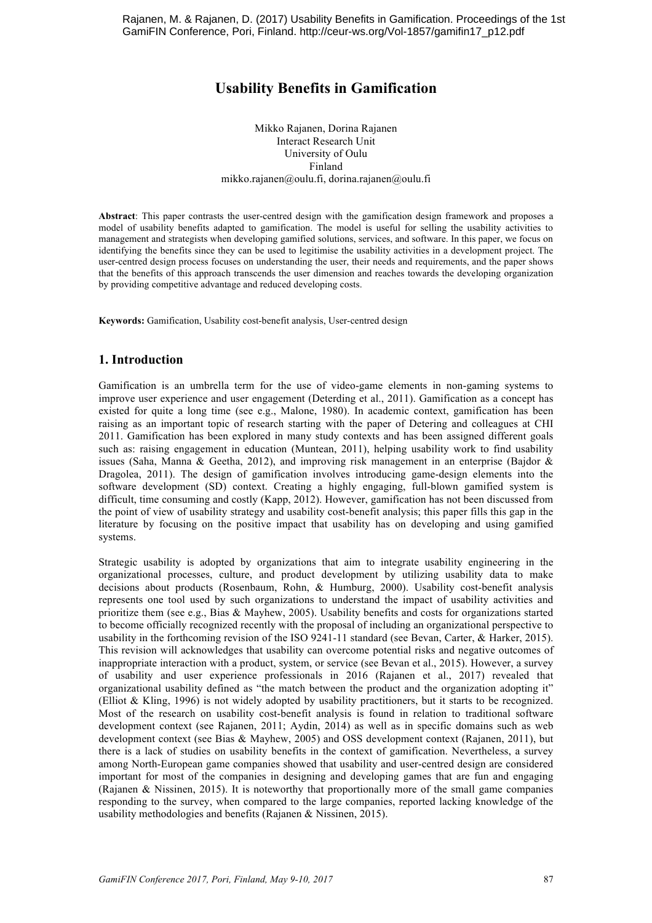# **Usability Benefits in Gamification**

Mikko Rajanen, Dorina Rajanen Interact Research Unit University of Oulu Finland mikko.rajanen@oulu.fi, dorina.rajanen@oulu.fi

**Abstract**: This paper contrasts the user-centred design with the gamification design framework and proposes a model of usability benefits adapted to gamification. The model is useful for selling the usability activities to management and strategists when developing gamified solutions, services, and software. In this paper, we focus on identifying the benefits since they can be used to legitimise the usability activities in a development project. The user-centred design process focuses on understanding the user, their needs and requirements, and the paper shows that the benefits of this approach transcends the user dimension and reaches towards the developing organization by providing competitive advantage and reduced developing costs.

**Keywords:** Gamification, Usability cost-benefit analysis, User-centred design

#### **1. Introduction**

Gamification is an umbrella term for the use of video-game elements in non-gaming systems to improve user experience and user engagement (Deterding et al., 2011). Gamification as a concept has existed for quite a long time (see e.g., Malone, 1980). In academic context, gamification has been raising as an important topic of research starting with the paper of Detering and colleagues at CHI 2011. Gamification has been explored in many study contexts and has been assigned different goals such as: raising engagement in education (Muntean, 2011), helping usability work to find usability issues (Saha, Manna & Geetha, 2012), and improving risk management in an enterprise (Bajdor & Dragolea, 2011). The design of gamification involves introducing game-design elements into the software development (SD) context. Creating a highly engaging, full-blown gamified system is difficult, time consuming and costly (Kapp, 2012). However, gamification has not been discussed from the point of view of usability strategy and usability cost-benefit analysis; this paper fills this gap in the literature by focusing on the positive impact that usability has on developing and using gamified systems.

Strategic usability is adopted by organizations that aim to integrate usability engineering in the organizational processes, culture, and product development by utilizing usability data to make decisions about products (Rosenbaum, Rohn, & Humburg, 2000). Usability cost-benefit analysis represents one tool used by such organizations to understand the impact of usability activities and prioritize them (see e.g., Bias & Mayhew, 2005). Usability benefits and costs for organizations started to become officially recognized recently with the proposal of including an organizational perspective to usability in the forthcoming revision of the ISO 9241-11 standard (see Bevan, Carter, & Harker, 2015). This revision will acknowledges that usability can overcome potential risks and negative outcomes of inappropriate interaction with a product, system, or service (see Bevan et al., 2015). However, a survey of usability and user experience professionals in 2016 (Rajanen et al., 2017) revealed that organizational usability defined as "the match between the product and the organization adopting it" (Elliot & Kling, 1996) is not widely adopted by usability practitioners, but it starts to be recognized. Most of the research on usability cost-benefit analysis is found in relation to traditional software development context (see Rajanen, 2011; Aydin, 2014) as well as in specific domains such as web development context (see Bias & Mayhew, 2005) and OSS development context (Rajanen, 2011), but there is a lack of studies on usability benefits in the context of gamification. Nevertheless, a survey among North-European game companies showed that usability and user-centred design are considered important for most of the companies in designing and developing games that are fun and engaging (Rajanen & Nissinen, 2015). It is noteworthy that proportionally more of the small game companies responding to the survey, when compared to the large companies, reported lacking knowledge of the usability methodologies and benefits (Rajanen & Nissinen, 2015).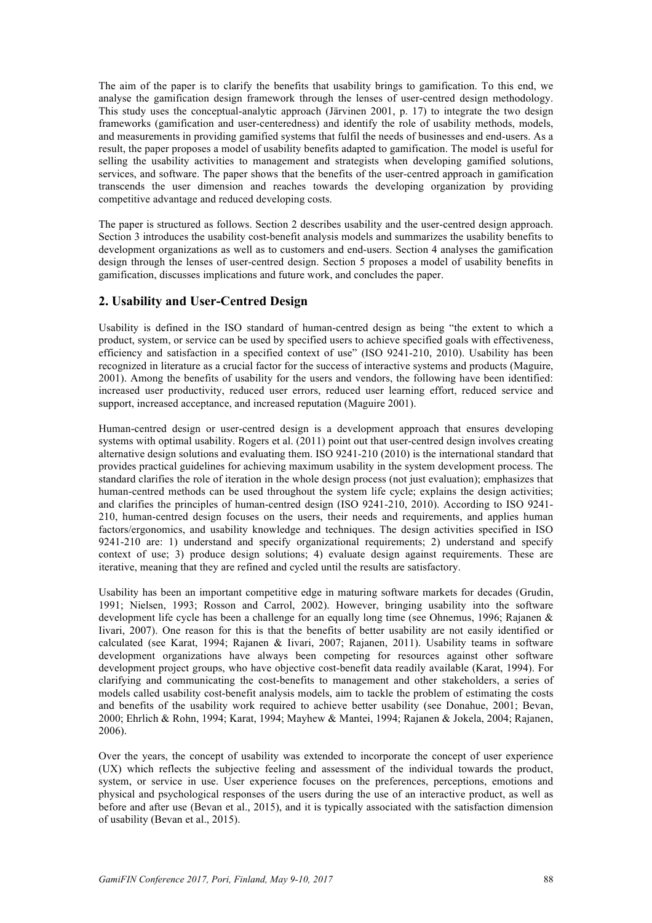The aim of the paper is to clarify the benefits that usability brings to gamification. To this end, we analyse the gamification design framework through the lenses of user-centred design methodology. This study uses the conceptual-analytic approach (Järvinen 2001, p. 17) to integrate the two design frameworks (gamification and user-centeredness) and identify the role of usability methods, models, and measurements in providing gamified systems that fulfil the needs of businesses and end-users. As a result, the paper proposes a model of usability benefits adapted to gamification. The model is useful for selling the usability activities to management and strategists when developing gamified solutions, services, and software. The paper shows that the benefits of the user-centred approach in gamification transcends the user dimension and reaches towards the developing organization by providing competitive advantage and reduced developing costs.

The paper is structured as follows. Section 2 describes usability and the user-centred design approach. Section 3 introduces the usability cost-benefit analysis models and summarizes the usability benefits to development organizations as well as to customers and end-users. Section 4 analyses the gamification design through the lenses of user-centred design. Section 5 proposes a model of usability benefits in gamification, discusses implications and future work, and concludes the paper.

#### **2. Usability and User-Centred Design**

Usability is defined in the ISO standard of human-centred design as being "the extent to which a product, system, or service can be used by specified users to achieve specified goals with effectiveness, efficiency and satisfaction in a specified context of use" (ISO 9241-210, 2010). Usability has been recognized in literature as a crucial factor for the success of interactive systems and products (Maguire, 2001). Among the benefits of usability for the users and vendors, the following have been identified: increased user productivity, reduced user errors, reduced user learning effort, reduced service and support, increased acceptance, and increased reputation (Maguire 2001).

Human-centred design or user-centred design is a development approach that ensures developing systems with optimal usability. Rogers et al. (2011) point out that user-centred design involves creating alternative design solutions and evaluating them. ISO 9241-210 (2010) is the international standard that provides practical guidelines for achieving maximum usability in the system development process. The standard clarifies the role of iteration in the whole design process (not just evaluation); emphasizes that human-centred methods can be used throughout the system life cycle; explains the design activities; and clarifies the principles of human-centred design (ISO 9241-210, 2010). According to ISO 9241- 210, human-centred design focuses on the users, their needs and requirements, and applies human factors/ergonomics, and usability knowledge and techniques. The design activities specified in ISO 9241-210 are: 1) understand and specify organizational requirements; 2) understand and specify context of use; 3) produce design solutions; 4) evaluate design against requirements. These are iterative, meaning that they are refined and cycled until the results are satisfactory.

Usability has been an important competitive edge in maturing software markets for decades (Grudin, 1991; Nielsen, 1993; Rosson and Carrol, 2002). However, bringing usability into the software development life cycle has been a challenge for an equally long time (see Ohnemus, 1996; Rajanen & Iivari, 2007). One reason for this is that the benefits of better usability are not easily identified or calculated (see Karat, 1994; Rajanen & Iivari, 2007; Rajanen, 2011). Usability teams in software development organizations have always been competing for resources against other software development project groups, who have objective cost-benefit data readily available (Karat, 1994). For clarifying and communicating the cost-benefits to management and other stakeholders, a series of models called usability cost-benefit analysis models, aim to tackle the problem of estimating the costs and benefits of the usability work required to achieve better usability (see Donahue, 2001; Bevan, 2000; Ehrlich & Rohn, 1994; Karat, 1994; Mayhew & Mantei, 1994; Rajanen & Jokela, 2004; Rajanen, 2006).

Over the years, the concept of usability was extended to incorporate the concept of user experience (UX) which reflects the subjective feeling and assessment of the individual towards the product, system, or service in use. User experience focuses on the preferences, perceptions, emotions and physical and psychological responses of the users during the use of an interactive product, as well as before and after use (Bevan et al., 2015), and it is typically associated with the satisfaction dimension of usability (Bevan et al., 2015).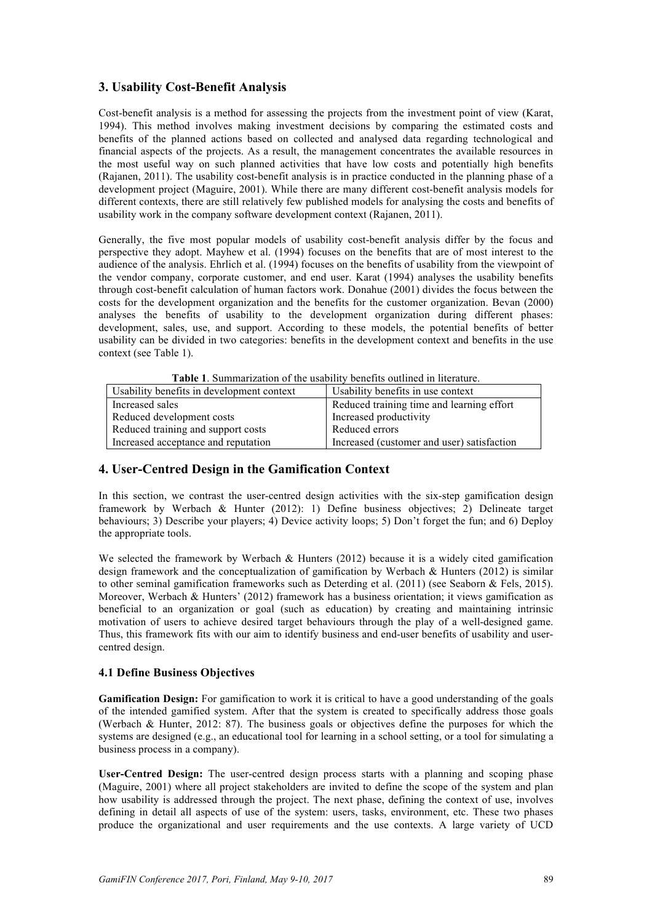## **3. Usability Cost-Benefit Analysis**

Cost-benefit analysis is a method for assessing the projects from the investment point of view (Karat, 1994). This method involves making investment decisions by comparing the estimated costs and benefits of the planned actions based on collected and analysed data regarding technological and financial aspects of the projects. As a result, the management concentrates the available resources in the most useful way on such planned activities that have low costs and potentially high benefits (Rajanen, 2011). The usability cost-benefit analysis is in practice conducted in the planning phase of a development project (Maguire, 2001). While there are many different cost-benefit analysis models for different contexts, there are still relatively few published models for analysing the costs and benefits of usability work in the company software development context (Rajanen, 2011).

Generally, the five most popular models of usability cost-benefit analysis differ by the focus and perspective they adopt. Mayhew et al. (1994) focuses on the benefits that are of most interest to the audience of the analysis. Ehrlich et al. (1994) focuses on the benefits of usability from the viewpoint of the vendor company, corporate customer, and end user. Karat (1994) analyses the usability benefits through cost-benefit calculation of human factors work. Donahue (2001) divides the focus between the costs for the development organization and the benefits for the customer organization. Bevan (2000) analyses the benefits of usability to the development organization during different phases: development, sales, use, and support. According to these models, the potential benefits of better usability can be divided in two categories: benefits in the development context and benefits in the use context (see Table 1).

| <b>Table 1.</b> Summarization of the usability benefits outlined in literature. |                                  |
|---------------------------------------------------------------------------------|----------------------------------|
| henefits in development context                                                 | Hability benefits in use context |

| Usability benefits in development context | Usability benefits in use context          |
|-------------------------------------------|--------------------------------------------|
| Increased sales                           | Reduced training time and learning effort  |
| Reduced development costs                 | Increased productivity                     |
| Reduced training and support costs        | Reduced errors                             |
| Increased acceptance and reputation       | Increased (customer and user) satisfaction |

## **4. User-Centred Design in the Gamification Context**

In this section, we contrast the user-centred design activities with the six-step gamification design framework by Werbach & Hunter (2012): 1) Define business objectives; 2) Delineate target behaviours; 3) Describe your players; 4) Device activity loops; 5) Don't forget the fun; and 6) Deploy the appropriate tools.

We selected the framework by Werbach & Hunters (2012) because it is a widely cited gamification design framework and the conceptualization of gamification by Werbach & Hunters (2012) is similar to other seminal gamification frameworks such as Deterding et al. (2011) (see Seaborn & Fels, 2015). Moreover, Werbach & Hunters' (2012) framework has a business orientation; it views gamification as beneficial to an organization or goal (such as education) by creating and maintaining intrinsic motivation of users to achieve desired target behaviours through the play of a well-designed game. Thus, this framework fits with our aim to identify business and end-user benefits of usability and usercentred design.

## **4.1 Define Business Objectives**

**Gamification Design:** For gamification to work it is critical to have a good understanding of the goals of the intended gamified system. After that the system is created to specifically address those goals (Werbach & Hunter, 2012: 87). The business goals or objectives define the purposes for which the systems are designed (e.g., an educational tool for learning in a school setting, or a tool for simulating a business process in a company).

**User-Centred Design:** The user-centred design process starts with a planning and scoping phase (Maguire, 2001) where all project stakeholders are invited to define the scope of the system and plan how usability is addressed through the project. The next phase, defining the context of use, involves defining in detail all aspects of use of the system: users, tasks, environment, etc. These two phases produce the organizational and user requirements and the use contexts. A large variety of UCD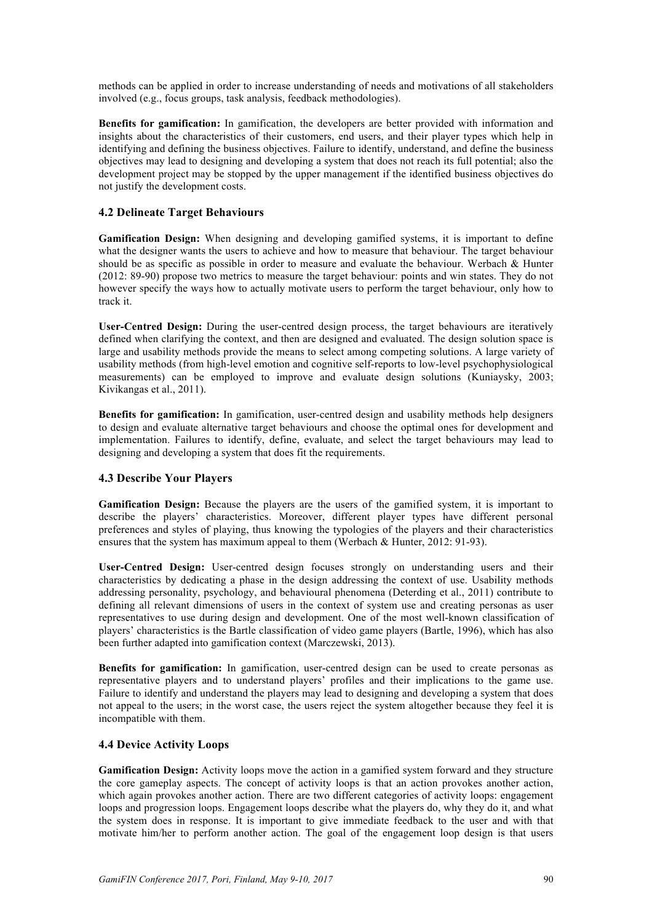methods can be applied in order to increase understanding of needs and motivations of all stakeholders involved (e.g., focus groups, task analysis, feedback methodologies).

**Benefits for gamification:** In gamification, the developers are better provided with information and insights about the characteristics of their customers, end users, and their player types which help in identifying and defining the business objectives. Failure to identify, understand, and define the business objectives may lead to designing and developing a system that does not reach its full potential; also the development project may be stopped by the upper management if the identified business objectives do not justify the development costs.

#### **4.2 Delineate Target Behaviours**

**Gamification Design:** When designing and developing gamified systems, it is important to define what the designer wants the users to achieve and how to measure that behaviour. The target behaviour should be as specific as possible in order to measure and evaluate the behaviour. Werbach & Hunter (2012: 89-90) propose two metrics to measure the target behaviour: points and win states. They do not however specify the ways how to actually motivate users to perform the target behaviour, only how to track it.

**User-Centred Design:** During the user-centred design process, the target behaviours are iteratively defined when clarifying the context, and then are designed and evaluated. The design solution space is large and usability methods provide the means to select among competing solutions. A large variety of usability methods (from high-level emotion and cognitive self-reports to low-level psychophysiological measurements) can be employed to improve and evaluate design solutions (Kuniaysky, 2003; Kivikangas et al., 2011).

**Benefits for gamification:** In gamification, user-centred design and usability methods help designers to design and evaluate alternative target behaviours and choose the optimal ones for development and implementation. Failures to identify, define, evaluate, and select the target behaviours may lead to designing and developing a system that does fit the requirements.

#### **4.3 Describe Your Players**

**Gamification Design:** Because the players are the users of the gamified system, it is important to describe the players' characteristics. Moreover, different player types have different personal preferences and styles of playing, thus knowing the typologies of the players and their characteristics ensures that the system has maximum appeal to them (Werbach & Hunter, 2012: 91-93).

**User-Centred Design:** User-centred design focuses strongly on understanding users and their characteristics by dedicating a phase in the design addressing the context of use. Usability methods addressing personality, psychology, and behavioural phenomena (Deterding et al., 2011) contribute to defining all relevant dimensions of users in the context of system use and creating personas as user representatives to use during design and development. One of the most well-known classification of players' characteristics is the Bartle classification of video game players (Bartle, 1996), which has also been further adapted into gamification context (Marczewski, 2013).

**Benefits for gamification:** In gamification, user-centred design can be used to create personas as representative players and to understand players' profiles and their implications to the game use. Failure to identify and understand the players may lead to designing and developing a system that does not appeal to the users; in the worst case, the users reject the system altogether because they feel it is incompatible with them.

#### **4.4 Device Activity Loops**

**Gamification Design:** Activity loops move the action in a gamified system forward and they structure the core gameplay aspects. The concept of activity loops is that an action provokes another action, which again provokes another action. There are two different categories of activity loops: engagement loops and progression loops. Engagement loops describe what the players do, why they do it, and what the system does in response. It is important to give immediate feedback to the user and with that motivate him/her to perform another action. The goal of the engagement loop design is that users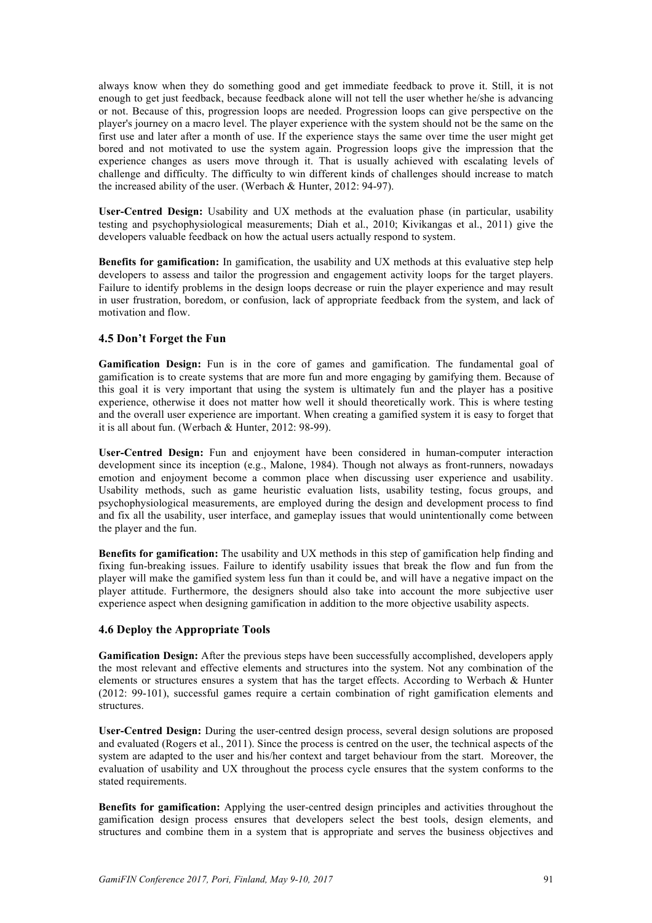always know when they do something good and get immediate feedback to prove it. Still, it is not enough to get just feedback, because feedback alone will not tell the user whether he/she is advancing or not. Because of this, progression loops are needed. Progression loops can give perspective on the player's journey on a macro level. The player experience with the system should not be the same on the first use and later after a month of use. If the experience stays the same over time the user might get bored and not motivated to use the system again. Progression loops give the impression that the experience changes as users move through it. That is usually achieved with escalating levels of challenge and difficulty. The difficulty to win different kinds of challenges should increase to match the increased ability of the user. (Werbach & Hunter, 2012: 94-97).

**User-Centred Design:** Usability and UX methods at the evaluation phase (in particular, usability testing and psychophysiological measurements; Diah et al., 2010; Kivikangas et al., 2011) give the developers valuable feedback on how the actual users actually respond to system.

**Benefits for gamification:** In gamification, the usability and UX methods at this evaluative step help developers to assess and tailor the progression and engagement activity loops for the target players. Failure to identify problems in the design loops decrease or ruin the player experience and may result in user frustration, boredom, or confusion, lack of appropriate feedback from the system, and lack of motivation and flow.

#### **4.5 Don't Forget the Fun**

**Gamification Design:** Fun is in the core of games and gamification. The fundamental goal of gamification is to create systems that are more fun and more engaging by gamifying them. Because of this goal it is very important that using the system is ultimately fun and the player has a positive experience, otherwise it does not matter how well it should theoretically work. This is where testing and the overall user experience are important. When creating a gamified system it is easy to forget that it is all about fun. (Werbach & Hunter, 2012: 98-99).

**User-Centred Design:** Fun and enjoyment have been considered in human-computer interaction development since its inception (e.g., Malone, 1984). Though not always as front-runners, nowadays emotion and enjoyment become a common place when discussing user experience and usability. Usability methods, such as game heuristic evaluation lists, usability testing, focus groups, and psychophysiological measurements, are employed during the design and development process to find and fix all the usability, user interface, and gameplay issues that would unintentionally come between the player and the fun.

**Benefits for gamification:** The usability and UX methods in this step of gamification help finding and fixing fun-breaking issues. Failure to identify usability issues that break the flow and fun from the player will make the gamified system less fun than it could be, and will have a negative impact on the player attitude. Furthermore, the designers should also take into account the more subjective user experience aspect when designing gamification in addition to the more objective usability aspects.

#### **4.6 Deploy the Appropriate Tools**

**Gamification Design:** After the previous steps have been successfully accomplished, developers apply the most relevant and effective elements and structures into the system. Not any combination of the elements or structures ensures a system that has the target effects. According to Werbach & Hunter (2012: 99-101), successful games require a certain combination of right gamification elements and structures.

**User-Centred Design:** During the user-centred design process, several design solutions are proposed and evaluated (Rogers et al., 2011). Since the process is centred on the user, the technical aspects of the system are adapted to the user and his/her context and target behaviour from the start. Moreover, the evaluation of usability and UX throughout the process cycle ensures that the system conforms to the stated requirements.

**Benefits for gamification:** Applying the user-centred design principles and activities throughout the gamification design process ensures that developers select the best tools, design elements, and structures and combine them in a system that is appropriate and serves the business objectives and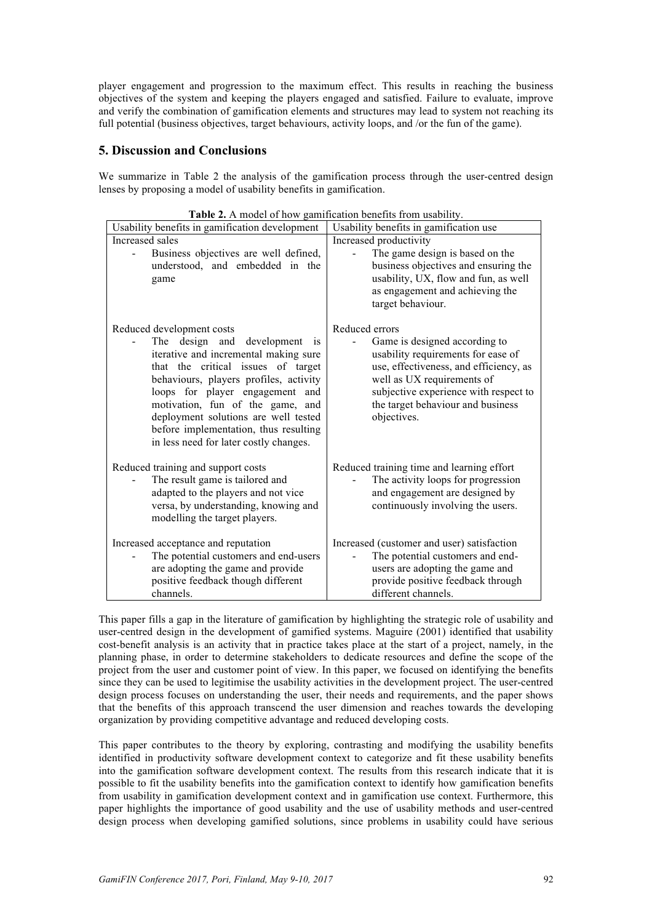player engagement and progression to the maximum effect. This results in reaching the business objectives of the system and keeping the players engaged and satisfied. Failure to evaluate, improve and verify the combination of gamification elements and structures may lead to system not reaching its full potential (business objectives, target behaviours, activity loops, and /or the fun of the game).

## **5. Discussion and Conclusions**

We summarize in Table 2 the analysis of the gamification process through the user-centred design lenses by proposing a model of usability benefits in gamification.

| Usability benefits in gamification development                                                                                                                                                                                                                                                                                                                                           | Usability benefits in gamification use                                                                                                                                                                                                                     |
|------------------------------------------------------------------------------------------------------------------------------------------------------------------------------------------------------------------------------------------------------------------------------------------------------------------------------------------------------------------------------------------|------------------------------------------------------------------------------------------------------------------------------------------------------------------------------------------------------------------------------------------------------------|
| Increased sales                                                                                                                                                                                                                                                                                                                                                                          | Increased productivity                                                                                                                                                                                                                                     |
| Business objectives are well defined,<br>understood, and embedded in the<br>game                                                                                                                                                                                                                                                                                                         | The game design is based on the<br>business objectives and ensuring the<br>usability, UX, flow and fun, as well<br>as engagement and achieving the<br>target behaviour.                                                                                    |
| Reduced development costs<br>The design and development<br>is<br>iterative and incremental making sure<br>that the critical issues of target<br>behaviours, players profiles, activity<br>loops for player engagement and<br>motivation, fun of the game, and<br>deployment solutions are well tested<br>before implementation, thus resulting<br>in less need for later costly changes. | Reduced errors<br>Game is designed according to<br>usability requirements for ease of<br>use, effectiveness, and efficiency, as<br>well as UX requirements of<br>subjective experience with respect to<br>the target behaviour and business<br>objectives. |
| Reduced training and support costs<br>The result game is tailored and<br>adapted to the players and not vice<br>versa, by understanding, knowing and<br>modelling the target players.                                                                                                                                                                                                    | Reduced training time and learning effort<br>The activity loops for progression<br>and engagement are designed by<br>continuously involving the users.                                                                                                     |
| Increased acceptance and reputation<br>The potential customers and end-users<br>are adopting the game and provide<br>positive feedback though different<br>channels.                                                                                                                                                                                                                     | Increased (customer and user) satisfaction<br>The potential customers and end-<br>users are adopting the game and<br>provide positive feedback through<br>different channels.                                                                              |

**Table 2.** A model of how gamification benefits from usability.

This paper fills a gap in the literature of gamification by highlighting the strategic role of usability and user-centred design in the development of gamified systems. Maguire (2001) identified that usability cost-benefit analysis is an activity that in practice takes place at the start of a project, namely, in the planning phase, in order to determine stakeholders to dedicate resources and define the scope of the project from the user and customer point of view. In this paper, we focused on identifying the benefits since they can be used to legitimise the usability activities in the development project. The user-centred design process focuses on understanding the user, their needs and requirements, and the paper shows that the benefits of this approach transcend the user dimension and reaches towards the developing organization by providing competitive advantage and reduced developing costs.

This paper contributes to the theory by exploring, contrasting and modifying the usability benefits identified in productivity software development context to categorize and fit these usability benefits into the gamification software development context. The results from this research indicate that it is possible to fit the usability benefits into the gamification context to identify how gamification benefits from usability in gamification development context and in gamification use context. Furthermore, this paper highlights the importance of good usability and the use of usability methods and user-centred design process when developing gamified solutions, since problems in usability could have serious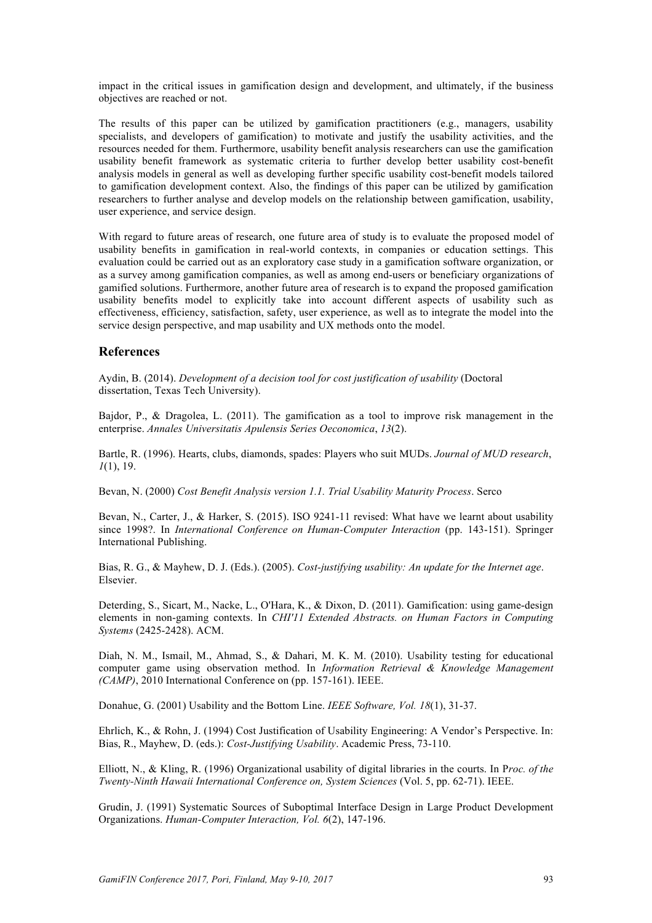impact in the critical issues in gamification design and development, and ultimately, if the business objectives are reached or not.

The results of this paper can be utilized by gamification practitioners (e.g., managers, usability specialists, and developers of gamification) to motivate and justify the usability activities, and the resources needed for them. Furthermore, usability benefit analysis researchers can use the gamification usability benefit framework as systematic criteria to further develop better usability cost-benefit analysis models in general as well as developing further specific usability cost-benefit models tailored to gamification development context. Also, the findings of this paper can be utilized by gamification researchers to further analyse and develop models on the relationship between gamification, usability, user experience, and service design.

With regard to future areas of research, one future area of study is to evaluate the proposed model of usability benefits in gamification in real-world contexts, in companies or education settings. This evaluation could be carried out as an exploratory case study in a gamification software organization, or as a survey among gamification companies, as well as among end-users or beneficiary organizations of gamified solutions. Furthermore, another future area of research is to expand the proposed gamification usability benefits model to explicitly take into account different aspects of usability such as effectiveness, efficiency, satisfaction, safety, user experience, as well as to integrate the model into the service design perspective, and map usability and UX methods onto the model.

#### **References**

Aydin, B. (2014). *Development of a decision tool for cost justification of usability* (Doctoral dissertation, Texas Tech University).

Bajdor, P., & Dragolea, L. (2011). The gamification as a tool to improve risk management in the enterprise. *Annales Universitatis Apulensis Series Oeconomica*, *13*(2).

Bartle, R. (1996). Hearts, clubs, diamonds, spades: Players who suit MUDs. *Journal of MUD research*, *1*(1), 19.

Bevan, N. (2000) *Cost Benefit Analysis version 1.1. Trial Usability Maturity Process*. Serco

Bevan, N., Carter, J., & Harker, S. (2015). ISO 9241-11 revised: What have we learnt about usability since 1998?. In *International Conference on Human-Computer Interaction* (pp. 143-151). Springer International Publishing.

Bias, R. G., & Mayhew, D. J. (Eds.). (2005). *Cost-justifying usability: An update for the Internet age*. Elsevier.

Deterding, S., Sicart, M., Nacke, L., O'Hara, K., & Dixon, D. (2011). Gamification: using game-design elements in non-gaming contexts. In *CHI'11 Extended Abstracts. on Human Factors in Computing Systems* (2425-2428). ACM.

Diah, N. M., Ismail, M., Ahmad, S., & Dahari, M. K. M. (2010). Usability testing for educational computer game using observation method. In *Information Retrieval & Knowledge Management (CAMP)*, 2010 International Conference on (pp. 157-161). IEEE.

Donahue, G. (2001) Usability and the Bottom Line. *IEEE Software, Vol. 18*(1), 31-37.

Ehrlich, K., & Rohn, J. (1994) Cost Justification of Usability Engineering: A Vendor's Perspective. In: Bias, R., Mayhew, D. (eds.): *Cost-Justifying Usability*. Academic Press, 73-110.

Elliott, N., & Kling, R. (1996) Organizational usability of digital libraries in the courts. In P*roc. of the Twenty-Ninth Hawaii International Conference on, System Sciences* (Vol. 5, pp. 62-71). IEEE.

Grudin, J. (1991) Systematic Sources of Suboptimal Interface Design in Large Product Development Organizations. *Human-Computer Interaction, Vol. 6*(2), 147-196.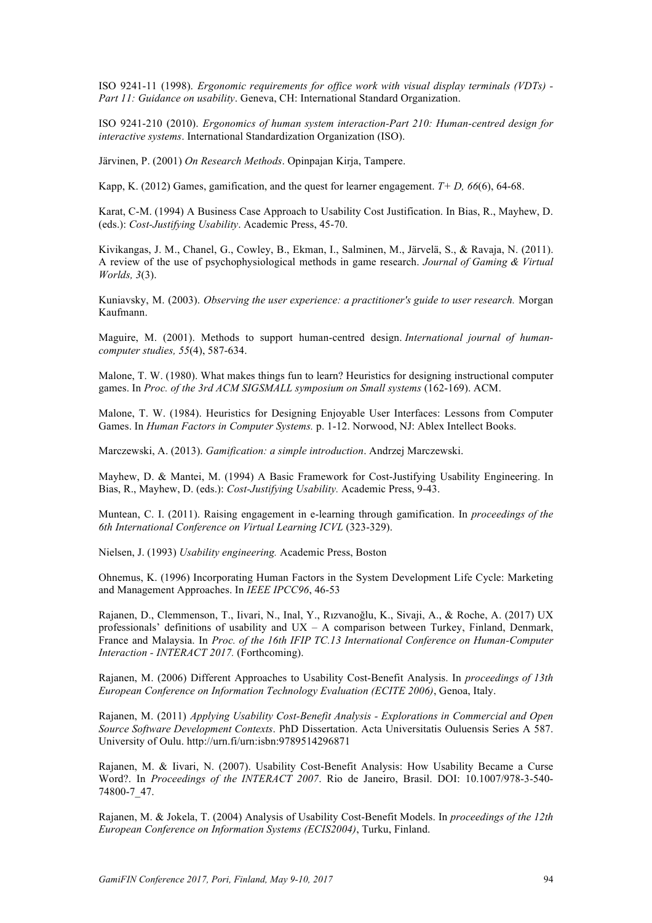ISO 9241-11 (1998). *Ergonomic requirements for office work with visual display terminals (VDTs) - Part 11: Guidance on usability*. Geneva, CH: International Standard Organization.

ISO 9241-210 (2010). *Ergonomics of human system interaction-Part 210: Human-centred design for interactive systems*. International Standardization Organization (ISO).

Järvinen, P. (2001) *On Research Methods*. Opinpajan Kirja, Tampere.

Kapp, K. (2012) Games, gamification, and the quest for learner engagement. *T+ D, 66*(6), 64-68.

Karat, C-M. (1994) A Business Case Approach to Usability Cost Justification. In Bias, R., Mayhew, D. (eds.): *Cost-Justifying Usability*. Academic Press, 45-70.

Kivikangas, J. M., Chanel, G., Cowley, B., Ekman, I., Salminen, M., Järvelä, S., & Ravaja, N. (2011). A review of the use of psychophysiological methods in game research. *Journal of Gaming & Virtual Worlds, 3*(3).

Kuniavsky, M. (2003). *Observing the user experience: a practitioner's guide to user research.* Morgan Kaufmann.

Maguire, M. (2001). Methods to support human-centred design. *International journal of humancomputer studies, 55*(4), 587-634.

Malone, T. W. (1980). What makes things fun to learn? Heuristics for designing instructional computer games. In *Proc. of the 3rd ACM SIGSMALL symposium on Small systems* (162-169). ACM.

Malone, T. W. (1984). Heuristics for Designing Enjoyable User Interfaces: Lessons from Computer Games. In *Human Factors in Computer Systems.* p. 1-12. Norwood, NJ: Ablex Intellect Books.

Marczewski, A. (2013). *Gamification: a simple introduction*. Andrzej Marczewski.

Mayhew, D. & Mantei, M. (1994) A Basic Framework for Cost-Justifying Usability Engineering. In Bias, R., Mayhew, D. (eds.): *Cost-Justifying Usability.* Academic Press, 9-43.

Muntean, C. I. (2011). Raising engagement in e-learning through gamification. In *proceedings of the 6th International Conference on Virtual Learning ICVL* (323-329).

Nielsen, J. (1993) *Usability engineering.* Academic Press, Boston

Ohnemus, K. (1996) Incorporating Human Factors in the System Development Life Cycle: Marketing and Management Approaches. In *IEEE IPCC96*, 46-53

Rajanen, D., Clemmenson, T., Iivari, N., Inal, Y., Rızvanoğlu, K., Sivaji, A., & Roche, A. (2017) UX professionals' definitions of usability and  $UX - A$  comparison between Turkey, Finland, Denmark, France and Malaysia. In *Proc. of the 16th IFIP TC.13 International Conference on Human-Computer Interaction - INTERACT 2017.* (Forthcoming).

Rajanen, M. (2006) Different Approaches to Usability Cost-Benefit Analysis. In *proceedings of 13th European Conference on Information Technology Evaluation (ECITE 2006)*, Genoa, Italy.

Rajanen, M. (2011) *Applying Usability Cost-Benefit Analysis - Explorations in Commercial and Open Source Software Development Contexts*. PhD Dissertation. Acta Universitatis Ouluensis Series A 587. University of Oulu. http://urn.fi/urn:isbn:9789514296871

Rajanen, M. & Iivari, N. (2007). Usability Cost-Benefit Analysis: How Usability Became a Curse Word?. In *Proceedings of the INTERACT 2007*. Rio de Janeiro, Brasil. DOI: 10.1007/978-3-540- 74800-7\_47.

Rajanen, M. & Jokela, T. (2004) Analysis of Usability Cost-Benefit Models. In *proceedings of the 12th European Conference on Information Systems (ECIS2004)*, Turku, Finland.